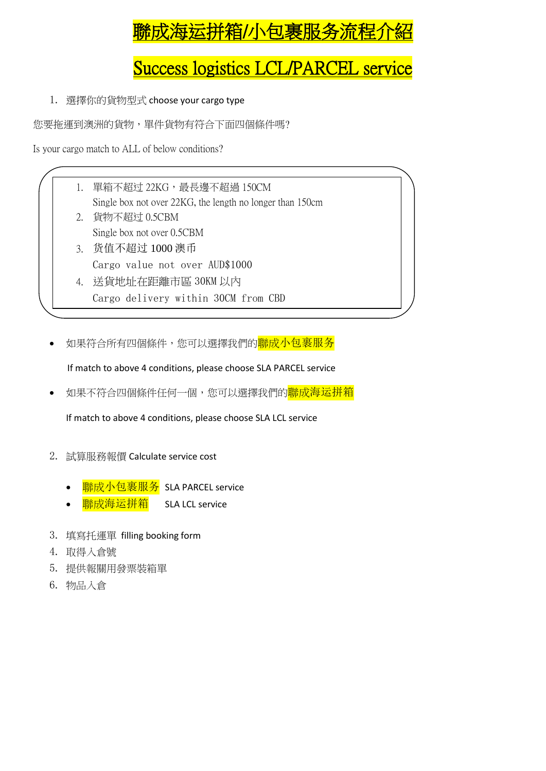# <mark>濰成海运拼箱/小包裹服务流程</mark>

## Success logistics LCL/PARCEL service

1. 選擇你的貨物型式 choose your cargo type

您要拖運到澳洲的貨物,單件貨物有符合下面四個條件嗎?

Is your cargo match to ALL of below conditions?

- 1. 單箱不超过 22KG,最長邊不超過 150CM Single box not over 22KG, the length no longer than 150cm
- 2. 貨物不超过 0.5CBM Single box not over 0.5CBM
- 3. 货值不超过 1000 澳币 Cargo value not over AUD\$1000
- 4. 送貨地址在距離市區 30KM 以內 Cargo delivery within 30CM from CBD
- 如果符合所有四個條件,您可以選擇我們的<mark>聯成小包裹服务</mark>

If match to above 4 conditions, please choose SLA PARCEL service

如果不符合四個條件任何一個,您可以選擇我們的<mark>聯成海运拼箱</mark>

If match to above 4 conditions, please choose SLA LCL service

- 2. 試算服務報價 Calculate service cost
	- 聯成小包裹服务 SLA PARCEL service
	- 聯成海运拼箱 SLA LCL service
- 3. 填寫托運單 filling booking form
- 4. 取得入倉號
- 5. 提供報關用發票裝箱單
- 6. 物品入倉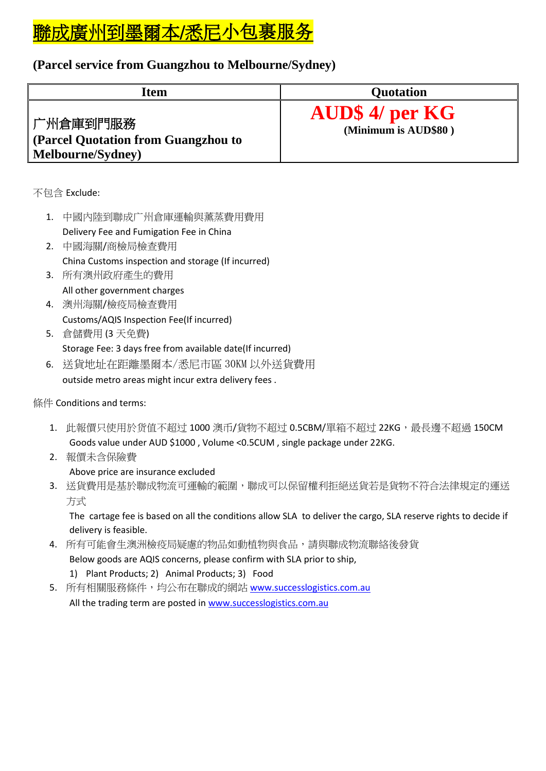# 聯成廣州到墨爾本/悉尼小包裹服务

### **(Parcel service from Guangzhou to Melbourne/Sydney)**

| Item                                                                  | <b>Quotation</b>                               |
|-----------------------------------------------------------------------|------------------------------------------------|
| 广州倉庫到門服務 <br>(Parcel Quotation from Guangzhou to<br>Melbourne/Sydney) | <b>AUD\$ 4/ per KG</b><br>(Minimum is AUD\$80) |

不包含 Exclude:

- 1. 中國內陸到聯成广州倉庫運輸與薰蒸費用費用 Delivery Fee and Fumigation Fee in China
- 2. 中國海關/商檢局檢查費用 China Customs inspection and storage (If incurred)
- 3. 所有澳州政府產生的費用 All other government charges
- 4. 澳州海關/檢疫局檢查費用 Customs/AQIS Inspection Fee(If incurred)
- 5. 倉儲費用 (3 天免費) Storage Fee: 3 days free from available date(If incurred)
- 6. 送貨地址在距離墨爾本/悉尼市區 30KM 以外送貨費用 outside metro areas might incur extra delivery fees .

#### 條件 Conditions and terms:

- 1. 此報價只使用於货值不超过 1000 澳币/貨物不超过 0.5CBM/單箱不超过 22KG,最長邊不超過 150CM Goods value under AUD \$1000 , Volume <0.5CUM , single package under 22KG.
- 2. 報價未含保險費 Above price are insurance excluded
- 3. 送貨費用是基於聯成物流可運輸的範圍,聯成可以保留權利拒絕送貨若是貨物不符合法律規定的運送 方式

The cartage fee is based on all the conditions allow SLA to deliver the cargo, SLA reserve rights to decide if delivery is feasible.

- 4. 所有可能會生澳洲檢疫局疑慮的物品如動植物與食品,請與聯成物流聯絡後發貨 Below goods are AQIS concerns, please confirm with SLA prior to ship, 1) Plant Products; 2) Animal Products; 3) Food
- 5. 所有相關服務條件,均公布在聯成的網站 [www.successlogistics.com.au](http://www.successlogistics.com.au/) All the trading term are posted in [www.successlogistics.com.au](http://www.successlogistics.com.au/)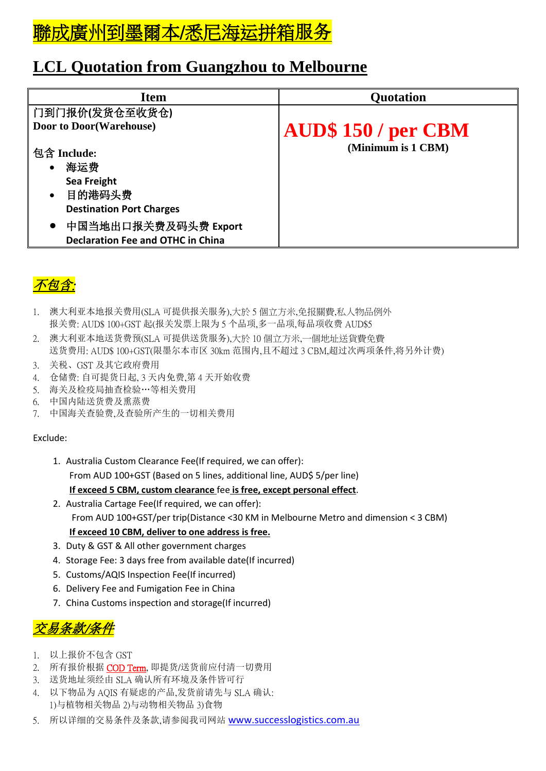

## **LCL Quotation from Guangzhou to Melbourne**

| <b>Item</b>                                                                   | <b>Quotation</b>           |
|-------------------------------------------------------------------------------|----------------------------|
| 门到门报价(发货仓至收货仓)                                                                |                            |
| <b>Door to Door (Warehouse)</b>                                               | <b>AUD\$ 150 / per CBM</b> |
| 包含 Include:<br>海运费<br>$\bullet$                                               | (Minimum is 1 CBM)         |
| Sea Freight<br>目的港码头费<br>$\bullet$                                            |                            |
| <b>Destination Port Charges</b>                                               |                            |
| 中国当地出口报关费及码头费 Export<br>$\bullet$<br><b>Declaration Fee and OTHC in China</b> |                            |



- 1. 澳大利亚本地报关费用(SLA 可提供报关服务),大於 5 個立方米,免报關費,私人物品例外 报关费: AUD\$ 100+GST 起(报关发票上限为 5 个品项,多一品项,每品项收费 AUD\$5
- 2. 澳大利亚本地送货费预(SLA 可提供送货服务),大於 10 個立方米,一個地址送貨費免費 送货费用: AUD\$ 100+GST(限墨尔本市区 30km 范围内,且不超过 3 CBM,超过次两项条件,将另外计费)
- 3. 关税、GST 及其它政府费用
- 4. 仓储费: 自可提货日起, 3 天内免费,第 4 天开始收费
- 5. 海关及检疫局抽查检验…等相关费用
- 6. 中国内陆送货费及熏蒸费
- 7. 中国海关查验费,及查验所产生的一切相关费用

#### Exclude:

- 1. Australia Custom Clearance Fee(If required, we can offer): From AUD 100+GST (Based on 5 lines, additional line, AUD\$ 5/per line) **If exceed 5 CBM, custom clearance** fee **is free, except personal effect**.
- 2. Australia Cartage Fee(If required, we can offer): From AUD 100+GST/per trip(Distance <30 KM in Melbourne Metro and dimension < 3 CBM) **If exceed 10 CBM, deliver to one address is free.**
- 3. Duty & GST & All other government charges
- 4. Storage Fee: 3 days free from available date(If incurred)
- 5. Customs/AQIS Inspection Fee(If incurred)
- 6. Delivery Fee and Fumigation Fee in China
- 7. China Customs inspection and storage(If incurred)

## 交易条款/条件

- 1. 以上报价不包含 GST
- 2. 所有报价根据 COD Term. 即提货/送货前应付清一切费用
- 3. 送货地址须经由 SLA 确认所有环境及条件皆可行
- 4. 以下物品为 AQIS 有疑虑的产品,发货前请先与 SLA 确认: 1)与植物相关物品 2)与动物相关物品 3)食物
- 5. 所以详细的交易条件及条款,请参阅我司网站 [www.successlogistics.com.au](http://www.successlogistics.com.au/)